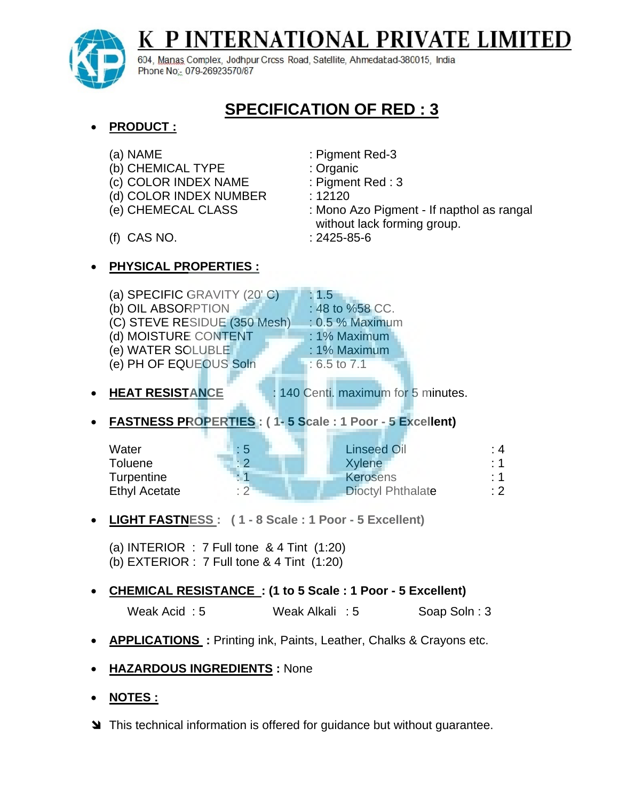

## P INTERNATIONAL PRIVATE LIMITE K

604, Manas Complex, Jodhpur Crcss Road, Satellite, Ahmedabad-380015, India Phone No: 079-26923570/87

## **SPECIFICATION OF RED : 3**

 **PRODUCT :** (a) NAME : Pigment Red-3 (b) CHEMICAL TYPE : Organic (c) COLOR INDEX NAME : Pigment Red : 3 (d) COLOR INDEX NUMBER : 12120 (e) CHEMECAL CLASS : Mono Azo Pigment - If napthol as rangal without lack forming group. (f) CAS NO. : 2425-85-6 **PHYSICAL PROPERTIES :** (a) SPECIFIC GRAVITY  $(20' C)$  : 1.5 (b) OIL ABSORPTION  $\blacksquare$  : 48 to %58 CC. (C) STEVE RESIDUE (350 Mesh) : 0.5 % Maximum (d) MOISTURE CONTENT : 1% Maximum (e) WATER SOLUBLE : 1% Maximum (e) PH OF EQUEOUS Soln  $\qquad$ : 6.5 to 7.1 • **HEAT RESISTANCE** : 140 Centi. maximum for 5 minutes. **FASTNESS PROPERTIES : ( 1- 5 Scale : 1 Poor - 5 Excellent)** Water : 5 Linseed Oil : 4 Toluene : 2 Xylene : 1 Turpentine : 1 1 Kerosens : 1 Ethyl Acetate : 2 Dioctyl Phthalate : 2 **LIGHT FASTNESS : ( 1 - 8 Scale : 1 Poor - 5 Excellent)** (a) INTERIOR :  $7$  Full tone & 4 Tint  $(1:20)$ (b) EXTERIOR : 7 Full tone & 4 Tint (1:20)

## **CHEMICAL RESISTANCE : (1 to 5 Scale : 1 Poor - 5 Excellent)**

Weak Acid: 5 Weak Alkali: 5 Soap Soln: 3

- **APPLICATIONS :** Printing ink, Paints, Leather, Chalks & Crayons etc.
- **HAZARDOUS INGREDIENTS :** None
- **NOTES :**
- **S** This technical information is offered for guidance but without guarantee.